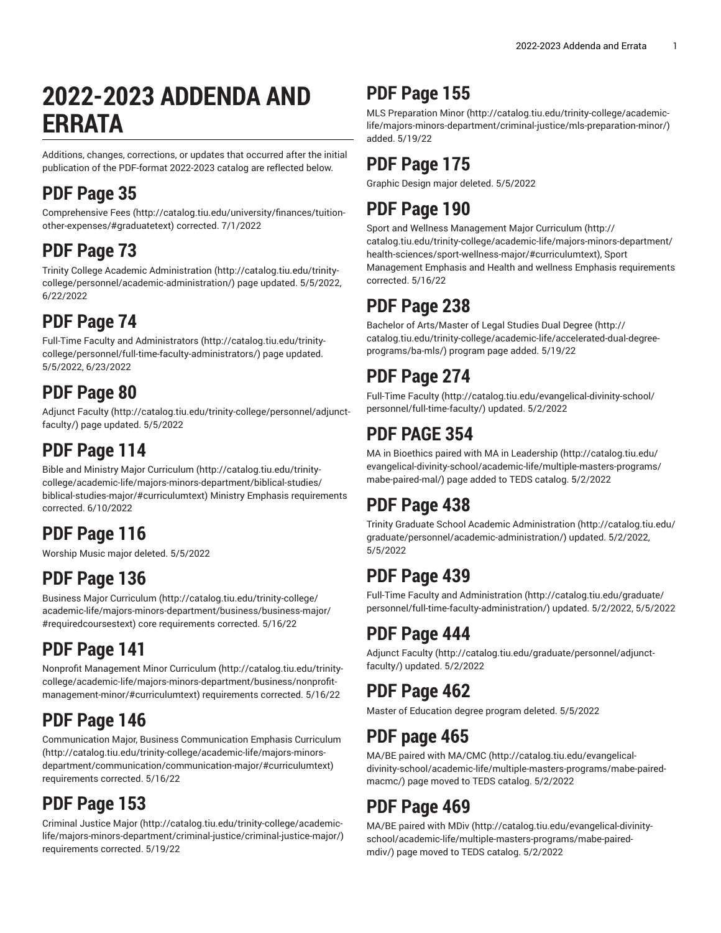# **2022-2023 ADDENDA AND ERRATA**

Additions, changes, corrections, or updates that occurred after the initial publication of the PDF-format 2022-2023 catalog are reflected below.

## **PDF Page 35**

[Comprehensive](http://catalog.tiu.edu/university/finances/tuition-other-expenses/#graduatetext) Fees ([http://catalog.tiu.edu/university/finances/tuition](http://catalog.tiu.edu/university/finances/tuition-other-expenses/#graduatetext)[other-expenses/#graduatetext](http://catalog.tiu.edu/university/finances/tuition-other-expenses/#graduatetext)) corrected. 7/1/2022

### **PDF Page 73**

Trinity College Academic [Administration](http://catalog.tiu.edu/trinity-college/personnel/academic-administration/) ([http://catalog.tiu.edu/trinity](http://catalog.tiu.edu/trinity-college/personnel/academic-administration/)[college/personnel/academic-administration/\)](http://catalog.tiu.edu/trinity-college/personnel/academic-administration/) page updated. 5/5/2022, 6/22/2022

### **PDF Page 74**

Full-Time Faculty and [Administrators \(http://catalog.tiu.edu/trinity](http://catalog.tiu.edu/trinity-college/personnel/full-time-faculty-administrators/)[college/personnel/full-time-faculty-administrators/\)](http://catalog.tiu.edu/trinity-college/personnel/full-time-faculty-administrators/) page updated. 5/5/2022, 6/23/2022

### **PDF Page 80**

[Adjunct](http://catalog.tiu.edu/trinity-college/personnel/adjunct-faculty/) Faculty ([http://catalog.tiu.edu/trinity-college/personnel/adjunct](http://catalog.tiu.edu/trinity-college/personnel/adjunct-faculty/)[faculty/](http://catalog.tiu.edu/trinity-college/personnel/adjunct-faculty/)) page updated. 5/5/2022

## **PDF Page 114**

Bible and Ministry Major [Curriculum \(http://catalog.tiu.edu/trinity](http://catalog.tiu.edu/trinity-college/academic-life/majors-minors-department/biblical-studies/biblical-studies-major/#curriculumtext)[college/academic-life/majors-minors-department/biblical-studies/](http://catalog.tiu.edu/trinity-college/academic-life/majors-minors-department/biblical-studies/biblical-studies-major/#curriculumtext) [biblical-studies-major/#curriculumtext\)](http://catalog.tiu.edu/trinity-college/academic-life/majors-minors-department/biblical-studies/biblical-studies-major/#curriculumtext) Ministry Emphasis requirements corrected. 6/10/2022

### **PDF Page 116**

Worship Music major deleted. 5/5/2022

## **PDF Page 136**

[Business Major Curriculum](http://catalog.tiu.edu/trinity-college/academic-life/majors-minors-department/business/business-major/#requiredcoursestext) ([http://catalog.tiu.edu/trinity-college/](http://catalog.tiu.edu/trinity-college/academic-life/majors-minors-department/business/business-major/#requiredcoursestext) [academic-life/majors-minors-department/business/business-major/](http://catalog.tiu.edu/trinity-college/academic-life/majors-minors-department/business/business-major/#requiredcoursestext) [#requiredcoursestext\)](http://catalog.tiu.edu/trinity-college/academic-life/majors-minors-department/business/business-major/#requiredcoursestext) core requirements corrected. 5/16/22

### **PDF Page 141**

Nonprofit [Management](http://catalog.tiu.edu/trinity-college/academic-life/majors-minors-department/business/nonprofit-management-minor/#curriculumtext) Minor Curriculum [\(http://catalog.tiu.edu/trinity](http://catalog.tiu.edu/trinity-college/academic-life/majors-minors-department/business/nonprofit-management-minor/#curriculumtext)[college/academic-life/majors-minors-department/business/nonprofit](http://catalog.tiu.edu/trinity-college/academic-life/majors-minors-department/business/nonprofit-management-minor/#curriculumtext)[management-minor/#curriculumtext](http://catalog.tiu.edu/trinity-college/academic-life/majors-minors-department/business/nonprofit-management-minor/#curriculumtext)) requirements corrected. 5/16/22

## **PDF Page 146**

Communication Major, Business [Communication](http://catalog.tiu.edu/trinity-college/academic-life/majors-minors-department/communication/communication-major/#curriculumtext) Emphasis Curriculum ([http://catalog.tiu.edu/trinity-college/academic-life/majors-minors](http://catalog.tiu.edu/trinity-college/academic-life/majors-minors-department/communication/communication-major/#curriculumtext)[department/communication/communication-major/#curriculumtext\)](http://catalog.tiu.edu/trinity-college/academic-life/majors-minors-department/communication/communication-major/#curriculumtext) requirements corrected. 5/16/22

## **PDF Page 153**

[Criminal Justice Major \(http://catalog.tiu.edu/trinity-college/academic](http://catalog.tiu.edu/trinity-college/academic-life/majors-minors-department/criminal-justice/criminal-justice-major/)[life/majors-minors-department/criminal-justice/criminal-justice-major/](http://catalog.tiu.edu/trinity-college/academic-life/majors-minors-department/criminal-justice/criminal-justice-major/)) requirements corrected. 5/19/22

# **PDF Page 155**

MLS [Preparation](http://catalog.tiu.edu/trinity-college/academic-life/majors-minors-department/criminal-justice/mls-preparation-minor/) Minor [\(http://catalog.tiu.edu/trinity-college/academic](http://catalog.tiu.edu/trinity-college/academic-life/majors-minors-department/criminal-justice/mls-preparation-minor/)[life/majors-minors-department/criminal-justice/mls-preparation-minor/](http://catalog.tiu.edu/trinity-college/academic-life/majors-minors-department/criminal-justice/mls-preparation-minor/)) added. 5/19/22

## **PDF Page 175**

Graphic Design major deleted. 5/5/2022

## **PDF Page 190**

Sport and Wellness [Management](http://catalog.tiu.edu/trinity-college/academic-life/majors-minors-department/health-sciences/sport-wellness-major/#curriculumtext) Major Curriculum [\(http://](http://catalog.tiu.edu/trinity-college/academic-life/majors-minors-department/health-sciences/sport-wellness-major/#curriculumtext) [catalog.tiu.edu/trinity-college/academic-life/majors-minors-department/](http://catalog.tiu.edu/trinity-college/academic-life/majors-minors-department/health-sciences/sport-wellness-major/#curriculumtext) [health-sciences/sport-wellness-major/#curriculumtext](http://catalog.tiu.edu/trinity-college/academic-life/majors-minors-department/health-sciences/sport-wellness-major/#curriculumtext)), Sport Management Emphasis and Health and wellness Emphasis requirements corrected. 5/16/22

### **PDF Page 238**

Bachelor of [Arts/Master](http://catalog.tiu.edu/trinity-college/academic-life/accelerated-dual-degree-programs/ba-mls/) of Legal Studies Dual Degree ([http://](http://catalog.tiu.edu/trinity-college/academic-life/accelerated-dual-degree-programs/ba-mls/) [catalog.tiu.edu/trinity-college/academic-life/accelerated-dual-degree](http://catalog.tiu.edu/trinity-college/academic-life/accelerated-dual-degree-programs/ba-mls/)[programs/ba-mls/\)](http://catalog.tiu.edu/trinity-college/academic-life/accelerated-dual-degree-programs/ba-mls/) program page added. 5/19/22

### **PDF Page 274**

[Full-Time](http://catalog.tiu.edu/evangelical-divinity-school/personnel/full-time-faculty/) Faculty ([http://catalog.tiu.edu/evangelical-divinity-school/](http://catalog.tiu.edu/evangelical-divinity-school/personnel/full-time-faculty/) [personnel/full-time-faculty/\)](http://catalog.tiu.edu/evangelical-divinity-school/personnel/full-time-faculty/) updated. 5/2/2022

## **PDF PAGE 354**

MA in Bioethics paired with MA in [Leadership](http://catalog.tiu.edu/evangelical-divinity-school/academic-life/multiple-masters-programs/mabe-paired-mal/) ([http://catalog.tiu.edu/](http://catalog.tiu.edu/evangelical-divinity-school/academic-life/multiple-masters-programs/mabe-paired-mal/) [evangelical-divinity-school/academic-life/multiple-masters-programs/](http://catalog.tiu.edu/evangelical-divinity-school/academic-life/multiple-masters-programs/mabe-paired-mal/) [mabe-paired-mal/](http://catalog.tiu.edu/evangelical-divinity-school/academic-life/multiple-masters-programs/mabe-paired-mal/)) page added to TEDS catalog. 5/2/2022

## **PDF Page 438**

Trinity Graduate School Academic [Administration \(http://catalog.tiu.edu/](http://catalog.tiu.edu/graduate/personnel/academic-administration/) [graduate/personnel/academic-administration/\)](http://catalog.tiu.edu/graduate/personnel/academic-administration/) updated. 5/2/2022, 5/5/2022

## **PDF Page 439**

Full-Time Faculty and [Administration \(http://catalog.tiu.edu/graduate/](http://catalog.tiu.edu/graduate/personnel/full-time-faculty-administration/) [personnel/full-time-faculty-administration/\)](http://catalog.tiu.edu/graduate/personnel/full-time-faculty-administration/) updated. 5/2/2022, 5/5/2022

### **PDF Page 444**

[Adjunct](http://catalog.tiu.edu/graduate/personnel/adjunct-faculty/) Faculty [\(http://catalog.tiu.edu/graduate/personnel/adjunct](http://catalog.tiu.edu/graduate/personnel/adjunct-faculty/)[faculty/](http://catalog.tiu.edu/graduate/personnel/adjunct-faculty/)) updated. 5/2/2022

### **PDF Page 462**

Master of Education degree program deleted. 5/5/2022

### **PDF page 465**

MA/BE paired with [MA/CMC](http://catalog.tiu.edu/evangelical-divinity-school/academic-life/multiple-masters-programs/mabe-paired-macmc/) ([http://catalog.tiu.edu/evangelical](http://catalog.tiu.edu/evangelical-divinity-school/academic-life/multiple-masters-programs/mabe-paired-macmc/)[divinity-school/academic-life/multiple-masters-programs/mabe-paired](http://catalog.tiu.edu/evangelical-divinity-school/academic-life/multiple-masters-programs/mabe-paired-macmc/)[macmc/\)](http://catalog.tiu.edu/evangelical-divinity-school/academic-life/multiple-masters-programs/mabe-paired-macmc/) page moved to TEDS catalog. 5/2/2022

### **PDF Page 469**

[MA/BE](http://catalog.tiu.edu/evangelical-divinity-school/academic-life/multiple-masters-programs/mabe-paired-mdiv/) paired with MDiv [\(http://catalog.tiu.edu/evangelical-divinity](http://catalog.tiu.edu/evangelical-divinity-school/academic-life/multiple-masters-programs/mabe-paired-mdiv/)[school/academic-life/multiple-masters-programs/mabe-paired](http://catalog.tiu.edu/evangelical-divinity-school/academic-life/multiple-masters-programs/mabe-paired-mdiv/)[mdiv/](http://catalog.tiu.edu/evangelical-divinity-school/academic-life/multiple-masters-programs/mabe-paired-mdiv/)) page moved to TEDS catalog. 5/2/2022